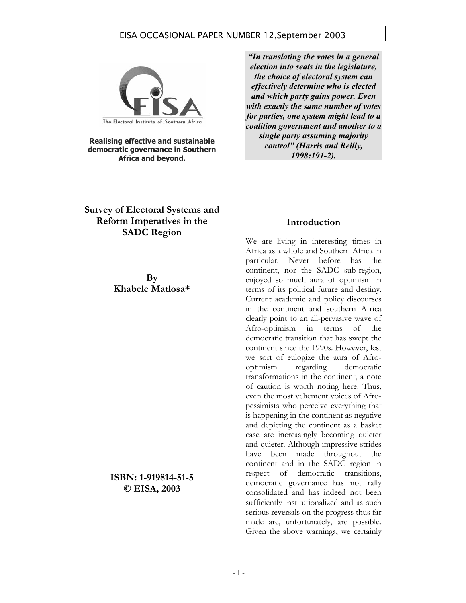

**Realising effective and sustainable democratic governance in Southern Africa and beyond.** 

**Survey of Electoral Systems and Reform Imperatives in the SADC Region** 

> **By Khabele Matlosa\***

**ISBN: 1-919814-51-5 © EISA, 2003** 

*"In translating the votes in a general election into seats in the legislature, the choice of electoral system can effectively determine who is elected and which party gains power. Even with exactly the same number of votes for parties, one system might lead to a coalition government and another to a single party assuming majority control" (Harris and Reilly, 1998:191-2).* 

#### **Introduction**

We are living in interesting times in Africa as a whole and Southern Africa in particular. Never before has the continent, nor the SADC sub-region, enjoyed so much aura of optimism in terms of its political future and destiny. Current academic and policy discourses in the continent and southern Africa clearly point to an all-pervasive wave of Afro-optimism in terms of the democratic transition that has swept the continent since the 1990s. However, lest we sort of eulogize the aura of Afrooptimism regarding democratic transformations in the continent, a note of caution is worth noting here. Thus, even the most vehement voices of Afropessimists who perceive everything that is happening in the continent as negative and depicting the continent as a basket case are increasingly becoming quieter and quieter. Although impressive strides have been made throughout the continent and in the SADC region in respect of democratic transitions, democratic governance has not rally consolidated and has indeed not been sufficiently institutionalized and as such serious reversals on the progress thus far made are, unfortunately, are possible. Given the above warnings, we certainly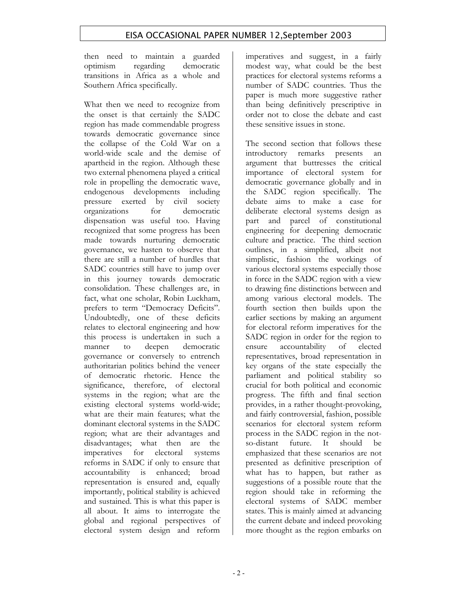then need to maintain a guarded optimism regarding democratic transitions in Africa as a whole and Southern Africa specifically.

What then we need to recognize from the onset is that certainly the SADC region has made commendable progress towards democratic governance since the collapse of the Cold War on a world-wide scale and the demise of apartheid in the region. Although these two external phenomena played a critical role in propelling the democratic wave, endogenous developments including pressure exerted by civil society organizations for democratic dispensation was useful too. Having recognized that some progress has been made towards nurturing democratic governance, we hasten to observe that there are still a number of hurdles that SADC countries still have to jump over in this journey towards democratic consolidation. These challenges are, in fact, what one scholar, Robin Luckham, prefers to term "Democracy Deficits". Undoubtedly, one of these deficits relates to electoral engineering and how this process is undertaken in such a manner to deepen democratic governance or conversely to entrench authoritarian politics behind the veneer of democratic rhetoric. Hence the significance, therefore, of electoral systems in the region; what are the existing electoral systems world-wide; what are their main features; what the dominant electoral systems in the SADC region; what are their advantages and disadvantages; what then are the imperatives for electoral systems reforms in SADC if only to ensure that accountability is enhanced; broad representation is ensured and, equally importantly, political stability is achieved and sustained. This is what this paper is all about. It aims to interrogate the global and regional perspectives of electoral system design and reform

imperatives and suggest, in a fairly modest way, what could be the best practices for electoral systems reforms a number of SADC countries. Thus the paper is much more suggestive rather than being definitively prescriptive in order not to close the debate and cast these sensitive issues in stone.

The second section that follows these introductory remarks presents an argument that buttresses the critical importance of electoral system for democratic governance globally and in the SADC region specifically. The debate aims to make a case for deliberate electoral systems design as part and parcel of constitutional engineering for deepening democratic culture and practice. The third section outlines, in a simplified, albeit not simplistic, fashion the workings of various electoral systems especially those in force in the SADC region with a view to drawing fine distinctions between and among various electoral models. The fourth section then builds upon the earlier sections by making an argument for electoral reform imperatives for the SADC region in order for the region to ensure accountability of elected representatives, broad representation in key organs of the state especially the parliament and political stability so crucial for both political and economic progress. The fifth and final section provides, in a rather thought-provoking, and fairly controversial, fashion, possible scenarios for electoral system reform process in the SADC region in the notso-distant future. It should be emphasized that these scenarios are not presented as definitive prescription of what has to happen, but rather as suggestions of a possible route that the region should take in reforming the electoral systems of SADC member states. This is mainly aimed at advancing the current debate and indeed provoking more thought as the region embarks on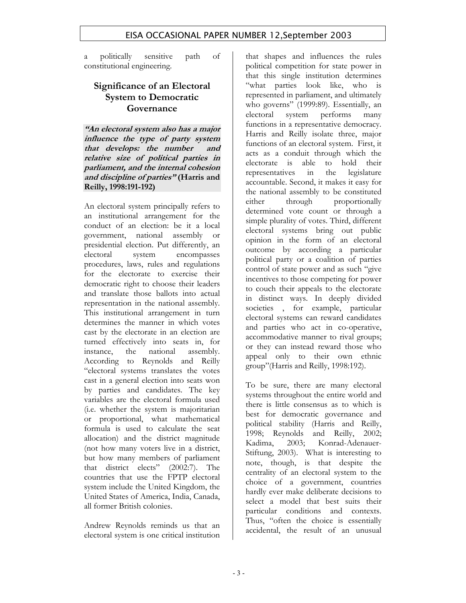a politically sensitive path of constitutional engineering.

### **Significance of an Electoral System to Democratic Governance**

**"An electoral system also has a major influence the type of party system that develops: the number and relative size of political parties in parliament, and the internal cohesion and discipline of parties" (Harris and Reilly, 1998:191-192)** 

An electoral system principally refers to an institutional arrangement for the conduct of an election: be it a local government, national assembly or presidential election. Put differently, an electoral system encompasses procedures, laws, rules and regulations for the electorate to exercise their democratic right to choose their leaders and translate those ballots into actual representation in the national assembly. This institutional arrangement in turn determines the manner in which votes cast by the electorate in an election are turned effectively into seats in, for instance, the national assembly. According to Reynolds and Reilly "electoral systems translates the votes cast in a general election into seats won by parties and candidates. The key variables are the electoral formula used (i.e. whether the system is majoritarian or proportional, what mathematical formula is used to calculate the seat allocation) and the district magnitude (not how many voters live in a district, but how many members of parliament that district elects" (2002:7). The countries that use the FPTP electoral system include the United Kingdom, the United States of America, India, Canada, all former British colonies.

Andrew Reynolds reminds us that an electoral system is one critical institution

that shapes and influences the rules political competition for state power in that this single institution determines "what parties look like, who is represented in parliament, and ultimately who governs" (1999:89). Essentially, an electoral system performs many functions in a representative democracy. Harris and Reilly isolate three, major functions of an electoral system. First, it acts as a conduit through which the electorate is able to hold their representatives in the legislature accountable. Second, it makes it easy for the national assembly to be constituted either through proportionally determined vote count or through a simple plurality of votes. Third, different electoral systems bring out public opinion in the form of an electoral outcome by according a particular political party or a coalition of parties control of state power and as such "give incentives to those competing for power to couch their appeals to the electorate in distinct ways. In deeply divided societies , for example, particular electoral systems can reward candidates and parties who act in co-operative, accommodative manner to rival groups; or they can instead reward those who appeal only to their own ethnic group"(Harris and Reilly, 1998:192).

To be sure, there are many electoral systems throughout the entire world and there is little consensus as to which is best for democratic governance and political stability (Harris and Reilly, 1998; Reynolds and Reilly, 2002; Kadima, 2003; Konrad-Adenauer-Stiftung, 2003). What is interesting to note, though, is that despite the centrality of an electoral system to the choice of a government, countries hardly ever make deliberate decisions to select a model that best suits their particular conditions and contexts. Thus, "often the choice is essentially accidental, the result of an unusual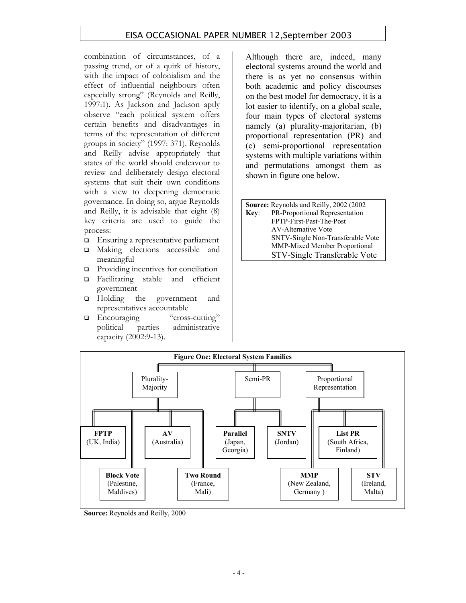combination of circumstances, of a passing trend, or of a quirk of history, with the impact of colonialism and the effect of influential neighbours often especially strong" (Reynolds and Reilly, 1997:1). As Jackson and Jackson aptly observe "each political system offers certain benefits and disadvantages in terms of the representation of different groups in society" (1997: 371). Reynolds and Reilly advise appropriately that states of the world should endeavour to review and deliberately design electoral systems that suit their own conditions with a view to deepening democratic governance. In doing so, argue Reynolds and Reilly, it is advisable that eight (8) key criteria are used to guide the process:

- Ensuring a representative parliament
- Making elections accessible and meaningful
- $\Box$  Providing incentives for conciliation
- Facilitating stable and efficient government
- □ Holding the government and representatives accountable
- Encouraging "cross-cutting" political parties administrative capacity (2002:9-13).

Although there are, indeed, many electoral systems around the world and there is as yet no consensus within both academic and policy discourses on the best model for democracy, it is a lot easier to identify, on a global scale, four main types of electoral systems namely (a) plurality-majoritarian, (b) proportional representation (PR) and (c) semi-proportional representation systems with multiple variations within and permutations amongst them as shown in figure one below.

**Source:** Reynolds and Reilly, 2002 (2002 **Key**: PR-Proportional Representation FPTP-First-Past-The-Post AV-Alternative Vote SNTV-Single Non-Transferable Vote MMP-Mixed Member Proportional STV-Single Transferable Vote



**Source:** Reynolds and Reilly, 2000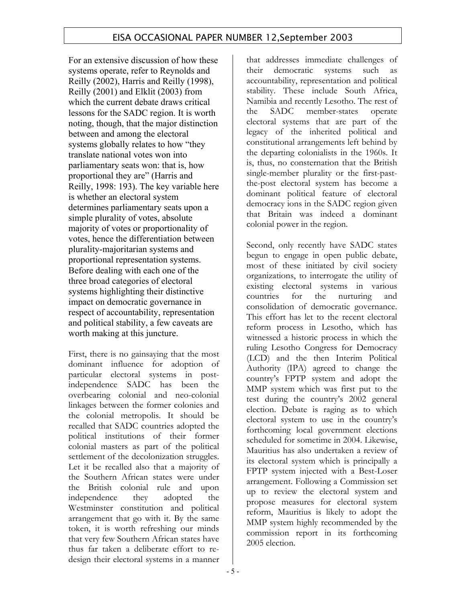For an extensive discussion of how these systems operate, refer to Reynolds and Reilly (2002), Harris and Reilly (1998), Reilly (2001) and Elklit (2003) from which the current debate draws critical lessons for the SADC region. It is worth noting, though, that the major distinction between and among the electoral systems globally relates to how "they translate national votes won into parliamentary seats won: that is, how proportional they are" (Harris and Reilly, 1998: 193). The key variable here is whether an electoral system determines parliamentary seats upon a simple plurality of votes, absolute majority of votes or proportionality of votes, hence the differentiation between plurality-majoritarian systems and proportional representation systems. Before dealing with each one of the three broad categories of electoral systems highlighting their distinctive impact on democratic governance in respect of accountability, representation and political stability, a few caveats are worth making at this juncture.

First, there is no gainsaying that the most dominant influence for adoption of particular electoral systems in postindependence SADC has been the overbearing colonial and neo-colonial linkages between the former colonies and the colonial metropolis. It should be recalled that SADC countries adopted the political institutions of their former colonial masters as part of the political settlement of the decolonization struggles. Let it be recalled also that a majority of the Southern African states were under the British colonial rule and upon independence they adopted the Westminster constitution and political arrangement that go with it. By the same token, it is worth refreshing our minds that very few Southern African states have thus far taken a deliberate effort to redesign their electoral systems in a manner

that addresses immediate challenges of their democratic systems such as accountability, representation and political stability. These include South Africa, Namibia and recently Lesotho. The rest of the SADC member-states operate electoral systems that are part of the legacy of the inherited political and constitutional arrangements left behind by the departing colonialists in the 1960s. It is, thus, no consternation that the British single-member plurality or the first-pastthe-post electoral system has become a dominant political feature of electoral democracy ions in the SADC region given that Britain was indeed a dominant colonial power in the region.

Second, only recently have SADC states begun to engage in open public debate, most of these initiated by civil society organizations, to interrogate the utility of existing electoral systems in various countries for the nurturing and consolidation of democratic governance. This effort has let to the recent electoral reform process in Lesotho, which has witnessed a historic process in which the ruling Lesotho Congress for Democracy (LCD) and the then Interim Political Authority (IPA) agreed to change the country's FPTP system and adopt the MMP system which was first put to the test during the country's 2002 general election. Debate is raging as to which electoral system to use in the country's forthcoming local government elections scheduled for sometime in 2004. Likewise, Mauritius has also undertaken a review of its electoral system which is principally a FPTP system injected with a Best-Loser arrangement. Following a Commission set up to review the electoral system and propose measures for electoral system reform, Mauritius is likely to adopt the MMP system highly recommended by the commission report in its forthcoming 2005 election.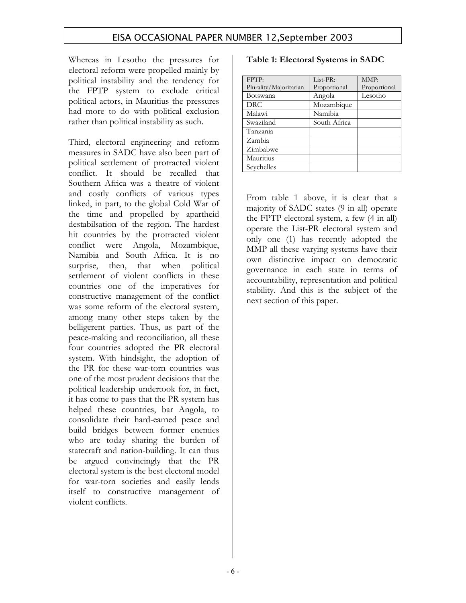Whereas in Lesotho the pressures for electoral reform were propelled mainly by political instability and the tendency for the FPTP system to exclude critical political actors, in Mauritius the pressures had more to do with political exclusion rather than political instability as such.

Third, electoral engineering and reform measures in SADC have also been part of political settlement of protracted violent conflict. It should be recalled that Southern Africa was a theatre of violent and costly conflicts of various types linked, in part, to the global Cold War of the time and propelled by apartheid destabilsation of the region. The hardest hit countries by the protracted violent conflict were Angola, Mozambique, Namibia and South Africa. It is no surprise, then, that when political settlement of violent conflicts in these countries one of the imperatives for constructive management of the conflict was some reform of the electoral system, among many other steps taken by the belligerent parties. Thus, as part of the peace-making and reconciliation, all these four countries adopted the PR electoral system. With hindsight, the adoption of the PR for these war-torn countries was one of the most prudent decisions that the political leadership undertook for, in fact, it has come to pass that the PR system has helped these countries, bar Angola, to consolidate their hard-earned peace and build bridges between former enemies who are today sharing the burden of statecraft and nation-building. It can thus be argued convincingly that the PR electoral system is the best electoral model for war-torn societies and easily lends itself to constructive management of violent conflicts.

### **Table 1: Electoral Systems in SADC**

| FPTP:                  | List-PR:     | MMP:         |
|------------------------|--------------|--------------|
| Plurality/Majoritarian | Proportional | Proportional |
| Botswana               | Angola       | Lesotho      |
| <b>DRC</b>             | Mozambique   |              |
| Malawi                 | Namibia      |              |
| Swaziland              | South Africa |              |
| Tanzania               |              |              |
| Zambia                 |              |              |
| Zimbabwe               |              |              |
| Mauritius              |              |              |
| Sevchelles             |              |              |

From table 1 above, it is clear that a majority of SADC states (9 in all) operate the FPTP electoral system, a few (4 in all) operate the List-PR electoral system and only one (1) has recently adopted the MMP all these varying systems have their own distinctive impact on democratic governance in each state in terms of accountability, representation and political stability. And this is the subject of the next section of this paper.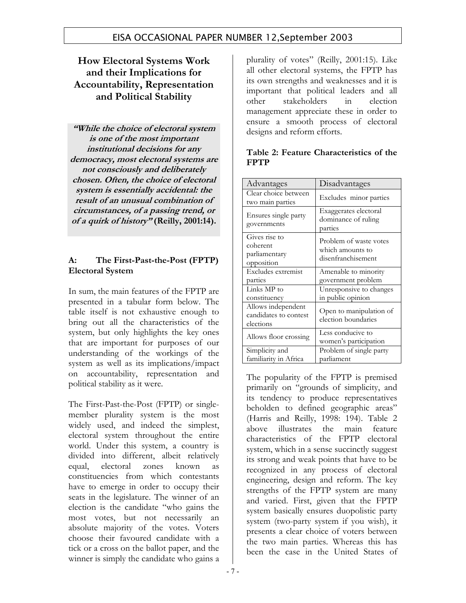## **How Electoral Systems Work and their Implications for Accountability, Representation and Political Stability**

**"While the choice of electoral system is one of the most important institutional decisions for any democracy, most electoral systems are not consciously and deliberately chosen. Often, the choice of electoral system is essentially accidental: the result of an unusual combination of circumstances, of a passing trend, or of a quirk of history" (Reilly, 2001:14).**

### **A: The First-Past-the-Post (FPTP) Electoral System**

In sum, the main features of the FPTP are presented in a tabular form below. The table itself is not exhaustive enough to bring out all the characteristics of the system, but only highlights the key ones that are important for purposes of our understanding of the workings of the system as well as its implications/impact on accountability, representation and political stability as it were.

The First-Past-the-Post (FPTP) or singlemember plurality system is the most widely used, and indeed the simplest, electoral system throughout the entire world. Under this system, a country is divided into different, albeit relatively equal, electoral zones known as constituencies from which contestants have to emerge in order to occupy their seats in the legislature. The winner of an election is the candidate "who gains the most votes, but not necessarily an absolute majority of the votes. Voters choose their favoured candidate with a tick or a cross on the ballot paper, and the winner is simply the candidate who gains a

plurality of votes" (Reilly, 2001:15). Like all other electoral systems, the FPTP has its own strengths and weaknesses and it is important that political leaders and all other stakeholders in election management appreciate these in order to ensure a smooth process of electoral designs and reform efforts.

| Advantages                                               | Disadvantages                                                    |
|----------------------------------------------------------|------------------------------------------------------------------|
| Clear choice between<br>two main parties                 | Excludes minor parties                                           |
| Ensures single party<br>governments                      | Exaggerates electoral<br>dominance of ruling<br>parties          |
| Gives rise to<br>coherent<br>parliamentary<br>opposition | Problem of waste votes<br>which amounts to<br>disenfranchisement |
| Excludes extremist<br>parties                            | Amenable to minority<br>government problem                       |
| Links MP to<br>constituency                              | Unresponsive to changes<br>in public opinion                     |
| Allows independent<br>candidates to contest<br>elections | Open to manipulation of<br>election boundaries                   |
| Allows floor crossing                                    | Less conducive to<br>women's participation                       |
| Simplicity and<br>familiarity in Africa                  | Problem of single party<br>parliament                            |

### **Table 2: Feature Characteristics of the FPTP**

The popularity of the FPTP is premised primarily on "grounds of simplicity, and its tendency to produce representatives beholden to defined geographic areas" (Harris and Reilly, 1998: 194). Table 2 above illustrates the main feature characteristics of the FPTP electoral system, which in a sense succinctly suggest its strong and weak points that have to be recognized in any process of electoral engineering, design and reform. The key strengths of the FPTP system are many and varied. First, given that the FPTP system basically ensures duopolistic party system (two-party system if you wish), it presents a clear choice of voters between the two main parties. Whereas this has been the case in the United States of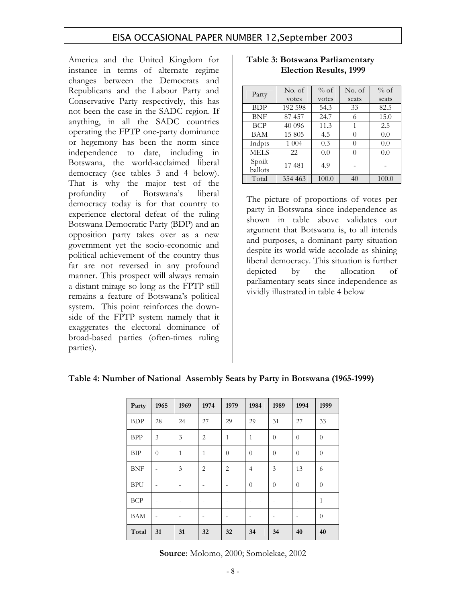America and the United Kingdom for instance in terms of alternate regime changes between the Democrats and Republicans and the Labour Party and Conservative Party respectively, this has not been the case in the SADC region. If anything, in all the SADC countries operating the FPTP one-party dominance or hegemony has been the norm since independence to date, including in Botswana, the world-acclaimed liberal democracy (see tables 3 and 4 below). That is why the major test of the profundity of Botswana's liberal democracy today is for that country to experience electoral defeat of the ruling Botswana Democratic Party (BDP) and an opposition party takes over as a new government yet the socio-economic and political achievement of the country thus far are not reversed in any profound manner. This prospect will always remain a distant mirage so long as the FPTP still remains a feature of Botswana's political system. This point reinforces the downside of the FPTP system namely that it exaggerates the electoral dominance of broad-based parties (often-times ruling parties).

| Party       | No. of  | $\%$ of | No. of           | $\%$ of |
|-------------|---------|---------|------------------|---------|
|             | votes   | votes   | seats            | seats   |
| <b>BDP</b>  | 192 598 | 54.3    | 33               | 82.5    |
| <b>BNF</b>  | 87 457  | 24.7    | 6                | 15.0    |
| <b>BCP</b>  | 40 096  | 11.3    | 1                | 2.5     |
| BAM         | 15 805  | 4.5     | 0                | 0.0     |
| Indpts      | 1 0 0 4 | 0.3     | $\left( \right)$ | 0.0     |
| <b>MELS</b> | 22      | 0.0     | 0                | 0.0     |
| Spoilt      | 17481   | 4.9     |                  |         |
| ballots     |         |         |                  |         |
| Total       | 354 463 | 100.0   | 40               | 100.0   |

#### **Table 3: Botswana Parliamentary Election Results, 1999**

The picture of proportions of votes per party in Botswana since independence as shown in table above validates our argument that Botswana is, to all intends and purposes, a dominant party situation despite its world-wide accolade as shining liberal democracy. This situation is further depicted by the allocation of parliamentary seats since independence as vividly illustrated in table 4 below

| Party      | 1965           | 1969         | 1974           | 1979           | 1984           | 1989           | 1994           | 1999           |
|------------|----------------|--------------|----------------|----------------|----------------|----------------|----------------|----------------|
| <b>BDP</b> | 28             | 24           | 27             | 29             | 29             | 31             | 27             | 33             |
| <b>BPP</b> | 3              | 3            | $\overline{2}$ | $\mathbf{1}$   | $\mathbf{1}$   | $\overline{0}$ | $\overline{0}$ | $\theta$       |
| <b>BIP</b> | $\overline{0}$ | $\mathbf{1}$ | $\mathbf{1}$   | $\theta$       | $\overline{0}$ | $\overline{0}$ | $\overline{0}$ | $\theta$       |
| <b>BNF</b> | $\overline{a}$ | 3            | $\overline{2}$ | $\overline{2}$ | $\overline{4}$ | 3              | 13             | 6              |
| <b>BPU</b> |                |              |                |                | $\theta$       | $\overline{0}$ | $\overline{0}$ | $\overline{0}$ |
| <b>BCP</b> |                |              |                |                |                |                | -              | $\mathbf{1}$   |
| <b>BAM</b> |                |              |                |                |                |                |                | $\overline{0}$ |
| Total      | 31             | 31           | 32             | 32             | 34             | 34             | 40             | 40             |

#### **Table 4: Number of National Assembly Seats by Party in Botswana (1965-1999)**

**Source**: Molomo, 2000; Somolekae, 2002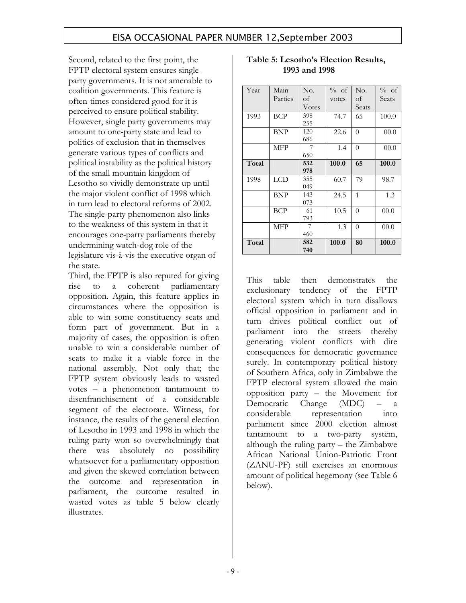Second, related to the first point, the FPTP electoral system ensures singleparty governments. It is not amenable to coalition governments. This feature is often-times considered good for it is perceived to ensure political stability. However, single party governments may amount to one-party state and lead to politics of exclusion that in themselves generate various types of conflicts and political instability as the political history of the small mountain kingdom of Lesotho so vividly demonstrate up until the major violent conflict of 1998 which in turn lead to electoral reforms of 2002. The single-party phenomenon also links to the weakness of this system in that it encourages one-party parliaments thereby undermining watch-dog role of the legislature vis-à-vis the executive organ of the state.

Third, the FPTP is also reputed for giving rise to a coherent parliamentary opposition. Again, this feature applies in circumstances where the opposition is able to win some constituency seats and form part of government. But in a majority of cases, the opposition is often unable to win a considerable number of seats to make it a viable force in the national assembly. Not only that; the FPTP system obviously leads to wasted votes – a phenomenon tantamount to disenfranchisement of a considerable segment of the electorate. Witness, for instance, the results of the general election of Lesotho in 1993 and 1998 in which the ruling party won so overwhelmingly that there was absolutely no possibility whatsoever for a parliamentary opposition and given the skewed correlation between the outcome and representation in parliament, the outcome resulted in wasted votes as table 5 below clearly illustrates.

| Year  | Main       | No.   | % of  | No.            | % of  |
|-------|------------|-------|-------|----------------|-------|
|       | Parties    | οf    | votes | оf             | Seats |
|       |            | Votes |       | Seats          |       |
| 1993  | BCP        | 398   | 74.7  | 65             | 100.0 |
|       |            | 255   |       |                |       |
|       | BNP        | 120   | 22.6  | $\overline{0}$ | 00.0  |
|       |            | 686   |       |                |       |
|       | MFP        | 7     | 1.4   | $\overline{0}$ | 00.0  |
|       |            | 650   |       |                |       |
| Total |            | 532   | 100.0 | 65             | 100.0 |
|       |            | 978   |       |                |       |
| 1998  | LCD        | 355   | 60.7  | 79             | 98.7  |
|       |            | 049   |       |                |       |
|       | BNP        | 143   | 24.5  | $\mathbf{1}$   | 1.3   |
|       |            | 073   |       |                |       |
|       | BCP        | 61    | 10.5  | $\theta$       | 00.0  |
|       |            | 793   |       |                |       |
|       | <b>MFP</b> | 7     | 1.3   | $\theta$       | 00.0  |
|       |            | 460   |       |                |       |
| Total |            | 582   | 100.0 | 80             | 100.0 |
|       |            | 740   |       |                |       |

### **Table 5: Lesotho's Election Results, 1993 and 1998**

This table then demonstrates the exclusionary tendency of the FPTP electoral system which in turn disallows official opposition in parliament and in turn drives political conflict out of parliament into the streets thereby generating violent conflicts with dire consequences for democratic governance surely. In contemporary political history of Southern Africa, only in Zimbabwe the FPTP electoral system allowed the main opposition party – the Movement for Democratic Change (MDC) – a considerable representation into parliament since 2000 election almost tantamount to a two-party system, although the ruling party – the Zimbabwe African National Union-Patriotic Front (ZANU-PF) still exercises an enormous amount of political hegemony (see Table 6 below).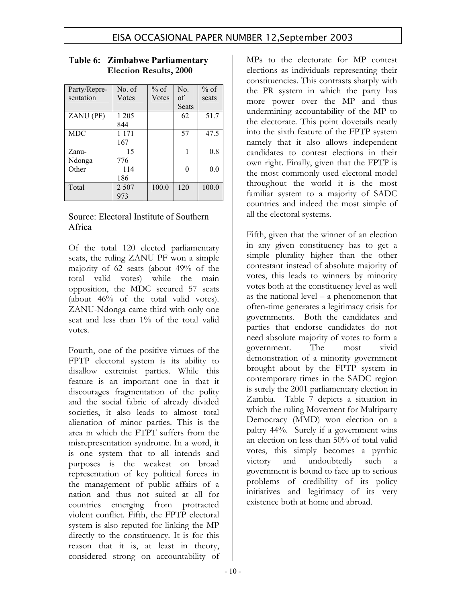| Party/Repre- | No. of  | $%$ of | No.      | $%$ of |
|--------------|---------|--------|----------|--------|
| sentation    | Votes   | Votes  | of       | seats  |
|              |         |        | Seats    |        |
| ZANU (PF)    | 1 2 0 5 |        | 62       | 51.7   |
|              | 844     |        |          |        |
| <b>MDC</b>   | 1 1 7 1 |        | 57       | 47.5   |
|              | 167     |        |          |        |
| Zanu-        | 15      |        |          | 0.8    |
| Ndonga       | 776     |        |          |        |
| Other        | 114     |        | $\Omega$ | 0.0    |
|              | 186     |        |          |        |
| Total        | 2 5 0 7 | 100.0  | 120      | 100.0  |
|              | 973     |        |          |        |

#### **Table 6: Zimbabwe Parliamentary Election Results, 2000**

### Source: Electoral Institute of Southern Africa

Of the total 120 elected parliamentary seats, the ruling ZANU PF won a simple majority of 62 seats (about 49% of the total valid votes) while the main opposition, the MDC secured 57 seats (about 46% of the total valid votes). ZANU-Ndonga came third with only one seat and less than 1% of the total valid votes.

Fourth, one of the positive virtues of the FPTP electoral system is its ability to disallow extremist parties. While this feature is an important one in that it discourages fragmentation of the polity and the social fabric of already divided societies, it also leads to almost total alienation of minor parties. This is the area in which the FTPT suffers from the misrepresentation syndrome. In a word, it is one system that to all intends and purposes is the weakest on broad representation of key political forces in the management of public affairs of a nation and thus not suited at all for countries emerging from protracted violent conflict. Fifth, the FPTP electoral system is also reputed for linking the MP directly to the constituency. It is for this reason that it is, at least in theory, considered strong on accountability of

MPs to the electorate for MP contest elections as individuals representing their constituencies. This contrasts sharply with the PR system in which the party has more power over the MP and thus undermining accountability of the MP to the electorate. This point dovetails neatly into the sixth feature of the FPTP system namely that it also allows independent candidates to contest elections in their own right. Finally, given that the FPTP is the most commonly used electoral model throughout the world it is the most familiar system to a majority of SADC countries and indeed the most simple of all the electoral systems.

Fifth, given that the winner of an election in any given constituency has to get a simple plurality higher than the other contestant instead of absolute majority of votes, this leads to winners by minority votes both at the constituency level as well as the national level – a phenomenon that often-time generates a legitimacy crisis for governments. Both the candidates and parties that endorse candidates do not need absolute majority of votes to form a government. The most vivid demonstration of a minority government brought about by the FPTP system in contemporary times in the SADC region is surely the 2001 parliamentary election in Zambia. Table 7 depicts a situation in which the ruling Movement for Multiparty Democracy (MMD) won election on a paltry 44%. Surely if a government wins an election on less than 50% of total valid votes, this simply becomes a pyrrhic victory and undoubtedly such a government is bound to face up to serious problems of credibility of its policy initiatives and legitimacy of its very existence both at home and abroad.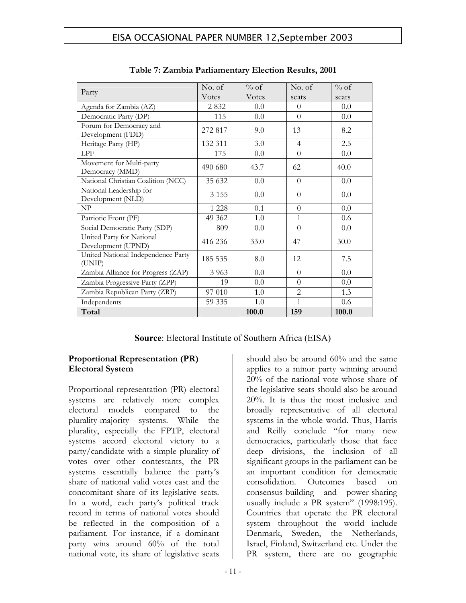|                                                 | No. of  | $\%$ of       | No. of         | $%$ of |
|-------------------------------------------------|---------|---------------|----------------|--------|
| Party                                           | Votes   | <b>V</b> otes | seats          | seats  |
| Agenda for Zambia (AZ)                          | 2832    | 0.0           | $\Omega$       | 0.0    |
| Democratic Party (DP)                           | 115     | 0.0           | $\overline{0}$ | 0.0    |
| Forum for Democracy and<br>Development (FDD)    | 272 817 | 9.0           | 13             | 8.2    |
| Heritage Party (HP)                             | 132 311 | 3.0           | 4              | 2.5    |
| <b>LPF</b>                                      | 175     | 0.0           | $\theta$       | 0.0    |
| Movement for Multi-party<br>Democracy (MMD)     | 490 680 | 43.7          | 62             | 40.0   |
| National Christian Coalition (NCC)              | 35 632  | 0.0           | $\Omega$       | 0.0    |
| National Leadership for<br>Development (NLD)    | 3 1 5 5 | 0.0           | $\Omega$       | 0.0    |
| NP                                              | 1 2 2 8 | 0.1           | $\Omega$       | 0.0    |
| Patriotic Front (PF)                            | 49 362  | 1.0           | 1              | 0.6    |
| Social Democratic Party (SDP)                   | 809     | 0.0           | $\Omega$       | 0.0    |
| United Party for National<br>Development (UPND) | 416 236 | 33.0          | 47             | 30.0   |
| United National Independence Party<br>(UNIP)    | 185 535 | 8.0           | 12             | 7.5    |
| Zambia Alliance for Progress (ZAP)              | 3 9 6 3 | 0.0           | $\Omega$       | 0.0    |
| Zambia Progressive Party (ZPP)                  | 19      | 0.0           | $\Omega$       | 0.0    |
| Zambia Republican Party (ZRP)                   | 97 010  | 1.0           | $\overline{2}$ | 1.3    |
| Independents                                    | 59 335  | 1.0           | $\mathbf{1}$   | 0.6    |
| Total                                           |         | 100.0         | 159            | 100.0  |

**Table 7: Zambia Parliamentary Election Results, 2001** 

### **Source**: Electoral Institute of Southern Africa (EISA)

### **Proportional Representation (PR) Electoral System**

Proportional representation (PR) electoral systems are relatively more complex electoral models compared to the plurality-majority systems. While the plurality, especially the FPTP, electoral systems accord electoral victory to a party/candidate with a simple plurality of votes over other contestants, the PR systems essentially balance the party's share of national valid votes cast and the concomitant share of its legislative seats. In a word, each party's political track record in terms of national votes should be reflected in the composition of a parliament. For instance, if a dominant party wins around 60% of the total national vote, its share of legislative seats

should also be around 60% and the same applies to a minor party winning around 20% of the national vote whose share of the legislative seats should also be around 20%. It is thus the most inclusive and broadly representative of all electoral systems in the whole world. Thus, Harris and Reilly conclude "for many new democracies, particularly those that face deep divisions, the inclusion of all significant groups in the parliament can be an important condition for democratic consolidation. Outcomes based on consensus-building and power-sharing usually include a PR system" (1998:195). Countries that operate the PR electoral system throughout the world include Denmark, Sweden, the Netherlands, Israel, Finland, Switzerland etc. Under the PR system, there are no geographic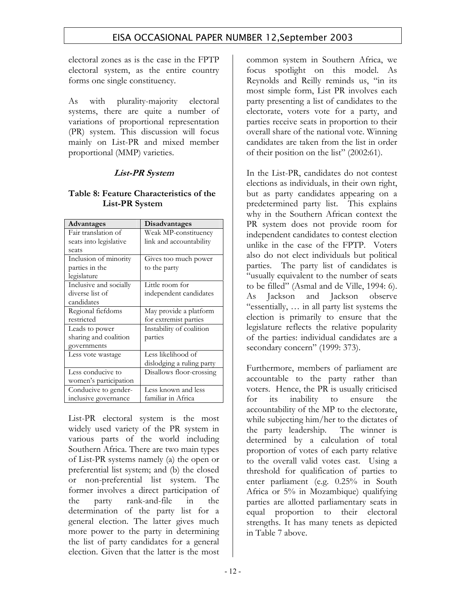electoral zones as is the case in the FPTP electoral system, as the entire country forms one single constituency.

As with plurality-majority electoral systems, there are quite a number of variations of proportional representation (PR) system. This discussion will focus mainly on List-PR and mixed member proportional (MMP) varieties.

### **List-PR System**

### **Table 8: Feature Characteristics of the List-PR System**

| Advantages             | Disadvantages             |
|------------------------|---------------------------|
| Fair translation of    | Weak MP-constituency      |
| seats into legislative | link and accountability   |
| seats                  |                           |
| Inclusion of minority  | Gives too much power      |
| parties in the         | to the party              |
| legislature            |                           |
| Inclusive and socially | Little room for           |
| diverse list of        | independent candidates    |
| candidates             |                           |
| Regional fiefdoms      | May provide a platform    |
| restricted             | for extremist parties     |
| Leads to power         | Instability of coalition  |
| sharing and coalition  | parties                   |
| governments            |                           |
| Less vote wastage      | Less likelihood of        |
|                        | dislodging a ruling party |
| Less conducive to      | Disallows floor-crossing  |
| women's participation  |                           |
| Conducive to gender-   | Less known and less       |
| inclusive governance   | familiar in Africa        |

List-PR electoral system is the most widely used variety of the PR system in various parts of the world including Southern Africa. There are two main types of List-PR systems namely (a) the open or preferential list system; and (b) the closed or non-preferential list system. The former involves a direct participation of the party rank-and-file in the determination of the party list for a general election. The latter gives much more power to the party in determining the list of party candidates for a general election. Given that the latter is the most

common system in Southern Africa, we focus spotlight on this model. As Reynolds and Reilly reminds us, "in its most simple form, List PR involves each party presenting a list of candidates to the electorate, voters vote for a party, and parties receive seats in proportion to their overall share of the national vote. Winning candidates are taken from the list in order of their position on the list" (2002:61).

In the List-PR, candidates do not contest elections as individuals, in their own right, but as party candidates appearing on a predetermined party list. This explains why in the Southern African context the PR system does not provide room for independent candidates to contest election unlike in the case of the FPTP. Voters also do not elect individuals but political parties. The party list of candidates is "usually equivalent to the number of seats to be filled" (Asmal and de Ville, 1994: 6). As Jackson and Jackson observe "essentially, … in all party list systems the election is primarily to ensure that the legislature reflects the relative popularity of the parties: individual candidates are a secondary concern" (1999: 373).

Furthermore, members of parliament are accountable to the party rather than voters. Hence, the PR is usually criticised for its inability to ensure the accountability of the MP to the electorate, while subjecting him/her to the dictates of the party leadership. The winner is determined by a calculation of total proportion of votes of each party relative to the overall valid votes cast. Using a threshold for qualification of parties to enter parliament (e.g. 0.25% in South Africa or 5% in Mozambique) qualifying parties are allotted parliamentary seats in equal proportion to their electoral strengths. It has many tenets as depicted in Table 7 above.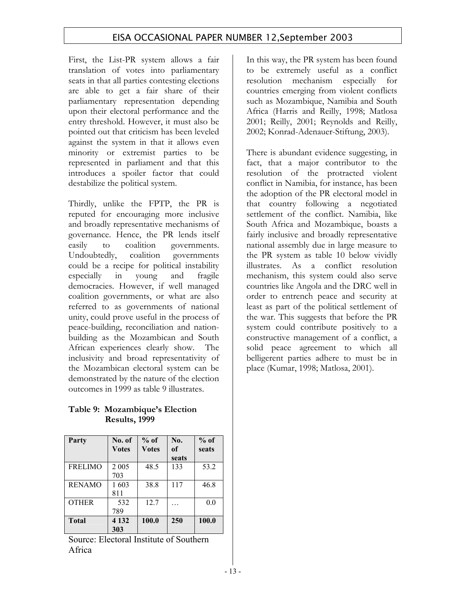First, the List-PR system allows a fair translation of votes into parliamentary seats in that all parties contesting elections are able to get a fair share of their parliamentary representation depending upon their electoral performance and the entry threshold. However, it must also be pointed out that criticism has been leveled against the system in that it allows even minority or extremist parties to be represented in parliament and that this introduces a spoiler factor that could destabilize the political system.

Thirdly, unlike the FPTP, the PR is reputed for encouraging more inclusive and broadly representative mechanisms of governance. Hence, the PR lends itself easily to coalition governments. Undoubtedly, coalition governments could be a recipe for political instability especially in young and fragile democracies. However, if well managed coalition governments, or what are also referred to as governments of national unity, could prove useful in the process of peace-building, reconciliation and nationbuilding as the Mozambican and South African experiences clearly show. The inclusivity and broad representativity of the Mozambican electoral system can be demonstrated by the nature of the election outcomes in 1999 as table 9 illustrates.

**Table 9: Mozambique's Election Results, 1999** 

| Party          | No. of<br><b>Votes</b> | $%$ of<br><b>Votes</b> | No.<br>of<br>seats | $%$ of<br>seats |
|----------------|------------------------|------------------------|--------------------|-----------------|
| <b>FRELIMO</b> | 2 0 0 5<br>703         | 48.5                   | 133                | 53.2            |
| <b>RENAMO</b>  | 1603<br>811            | 38.8                   | 117                | 46.8            |
| <b>OTHER</b>   | 532<br>789             | 12.7                   |                    | 0.0             |
| <b>Total</b>   | 4 1 3 2<br>303         | 100.0                  | 250                | 100.0           |

Source: Electoral Institute of Southern Africa

In this way, the PR system has been found to be extremely useful as a conflict resolution mechanism especially for countries emerging from violent conflicts such as Mozambique, Namibia and South Africa (Harris and Reilly, 1998; Matlosa 2001; Reilly, 2001; Reynolds and Reilly, 2002; Konrad-Adenauer-Stiftung, 2003).

There is abundant evidence suggesting, in fact, that a major contributor to the resolution of the protracted violent conflict in Namibia, for instance, has been the adoption of the PR electoral model in that country following a negotiated settlement of the conflict. Namibia, like South Africa and Mozambique, boasts a fairly inclusive and broadly representative national assembly due in large measure to the PR system as table 10 below vividly illustrates. As a conflict resolution mechanism, this system could also serve countries like Angola and the DRC well in order to entrench peace and security at least as part of the political settlement of the war. This suggests that before the PR system could contribute positively to a constructive management of a conflict, a solid peace agreement to which all belligerent parties adhere to must be in place (Kumar, 1998; Matlosa, 2001).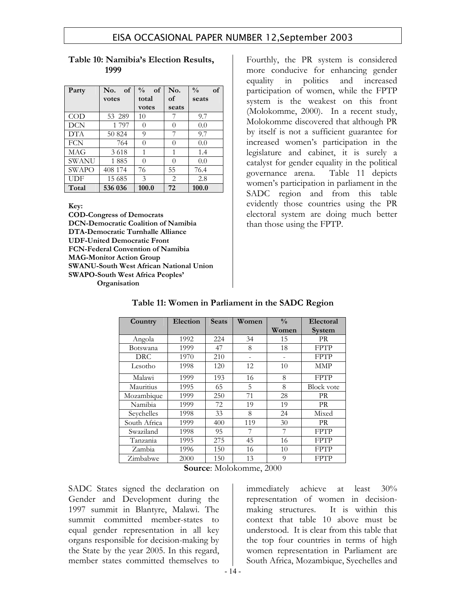| Party        | No.<br>of | $\frac{0}{0}$<br>$\alpha$ f | No.      | $\frac{0}{0}$<br>of |
|--------------|-----------|-----------------------------|----------|---------------------|
|              | votes     | total                       | of       | seats               |
|              |           | votes                       | seats    |                     |
| $\rm COD$    | 53 289    | 10                          |          | 9.7                 |
| DCN          | 1797      | $\theta$                    | $\theta$ | 0.0                 |
| <b>DTA</b>   | 50 824    | 9                           |          | 9.7                 |
| <b>FCN</b>   | 764       | 0                           | $\cup$   | 0.0                 |
| MAG          | 3618      |                             | 1        | 1.4                 |
| SWANU        | 1885      | 0                           | 0        | 0.0                 |
| <b>SWAPO</b> | 408 174   | 76                          | 55       | 76.4                |
| UDF          | 15 685    | 3                           | 2        | 2.8                 |
| Total        | 536 036   | 100.0                       | 72       | 100.0               |

#### **Table 10: Namibia's Election Results, 1999**

**Key:** 

**COD-Congress of Democrats DCN-Democratic Coalition of Namibia DTA-Democratic Turnhalle Alliance UDF-United Democratic Front FCN-Federal Convention of Namibia MAG-Monitor Action Group SWANU-South West African National Union SWAPO-South West Africa Peoples' Organisation** 

Fourthly, the PR system is considered more conducive for enhancing gender equality in politics and increased participation of women, while the FPTP system is the weakest on this front (Molokomme, 2000). In a recent study, Molokomme discovered that although PR by itself is not a sufficient guarantee for increased women's participation in the legislature and cabinet, it is surely a catalyst for gender equality in the political governance arena. Table 11 depicts women's participation in parliament in the SADC region and from this table evidently those countries using the PR electoral system are doing much better than those using the FPTP.

| Country      | Election | <b>Seats</b> | Women | $\frac{0}{0}$ | Electoral         |
|--------------|----------|--------------|-------|---------------|-------------------|
|              |          |              |       | Women         | System            |
| Angola       | 1992     | 224          | 34    | 15            | <b>PR</b>         |
| Botswana     | 1999     | 47           | 8     | 18            | <b>FPTP</b>       |
| <b>DRC</b>   | 1970     | 210          |       |               | <b>FPTP</b>       |
| Lesotho      | 1998     | 120          | 12    | 10            | <b>MMP</b>        |
| Malawi       | 1999     | 193          | 16    | 8             | <b>FPTP</b>       |
| Mauritius    | 1995     | 65           | 5     | 8             | <b>Block vote</b> |
| Mozambique   | 1999     | 250          | 71    | 28            | <b>PR</b>         |
| Namibia      | 1999     | 72           | 19    | 19            | PR                |
| Seychelles   | 1998     | 33           | 8     | 24            | Mixed             |
| South Africa | 1999     | 400          | 119   | 30            | PR                |
| Swaziland    | 1998     | 95           | 7     | 7             | <b>FPTP</b>       |
| Tanzania     | 1995     | 275          | 45    | 16            | <b>FPTP</b>       |
| Zambia       | 1996     | 150          | 16    | 10            | <b>FPTP</b>       |
| Zimbabwe     | 2000     | 150          | 13    | 9             | <b>FPTP</b>       |

### **Table 11: Women in Parliament in the SADC Region**

**Source**: Molokomme, 2000

SADC States signed the declaration on Gender and Development during the 1997 summit in Blantyre, Malawi. The summit committed member-states to equal gender representation in all key organs responsible for decision-making by the State by the year 2005. In this regard, member states committed themselves to

immediately achieve at least 30% representation of women in decisionmaking structures. It is within this context that table 10 above must be understood. It is clear from this table that the top four countries in terms of high women representation in Parliament are South Africa, Mozambique, Syechelles and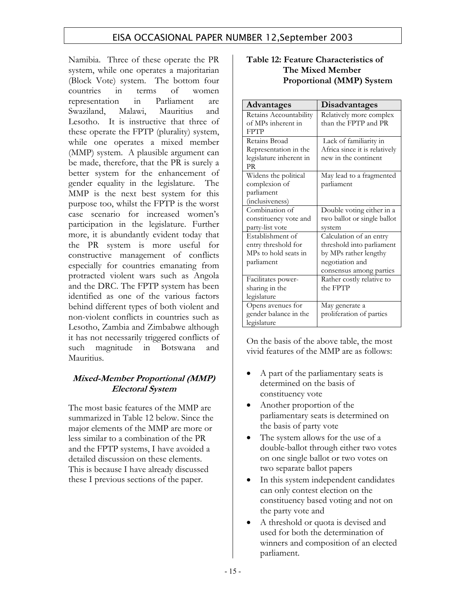Namibia. Three of these operate the PR system, while one operates a majoritarian (Block Vote) system. The bottom four countries in terms of women representation in Parliament are Swaziland, Malawi, Mauritius and Lesotho. It is instructive that three of these operate the FPTP (plurality) system, while one operates a mixed member (MMP) system. A plausible argument can be made, therefore, that the PR is surely a better system for the enhancement of gender equality in the legislature. The MMP is the next best system for this purpose too, whilst the FPTP is the worst case scenario for increased women's participation in the legislature. Further more, it is abundantly evident today that the PR system is more useful for constructive management of conflicts especially for countries emanating from protracted violent wars such as Angola and the DRC. The FPTP system has been identified as one of the various factors behind different types of both violent and non-violent conflicts in countries such as Lesotho, Zambia and Zimbabwe although it has not necessarily triggered conflicts of such magnitude in Botswana and Mauritius.

### **Mixed-Member Proportional (MMP) Electoral System**

The most basic features of the MMP are summarized in Table 12 below. Since the major elements of the MMP are more or less similar to a combination of the PR and the FPTP systems, I have avoided a detailed discussion on these elements. This is because I have already discussed these I previous sections of the paper.

#### **Table 12: Feature Characteristics of The Mixed Member Proportional (MMP) System**

| <b>Advantages</b>       | Disadvantages                 |
|-------------------------|-------------------------------|
| Retains Accountability  | Relatively more complex       |
| of MPs inherent in      | than the FPTP and PR          |
| <b>FPTP</b>             |                               |
| Retains Broad           | Lack of familiarity in        |
| Representation in the   | Africa since it is relatively |
| legislature inherent in | new in the continent          |
| <b>PR</b>               |                               |
| Widens the political    | May lead to a fragmented      |
| complexion of           | parliament                    |
| parliament              |                               |
| (inclusiveness)         |                               |
| Combination of          | Double voting either in a     |
| constituency vote and   | two ballot or single ballot   |
| party-list vote         | system                        |
| Establishment of        | Calculation of an entry       |
| entry threshold for     | threshold into parliament     |
| MPs to hold seats in    | by MPs rather lengthy         |
| parliament              | negotiation and               |
|                         | consensus among parties       |
| Facilitates power-      | Rather costly relative to     |
| sharing in the          | the FPTP                      |
| legislature             |                               |
| Opens avenues for       | May generate a                |
| gender balance in the   | proliferation of parties      |
| legislature             |                               |

On the basis of the above table, the most vivid features of the MMP are as follows:

- A part of the parliamentary seats is determined on the basis of constituency vote
- Another proportion of the parliamentary seats is determined on the basis of party vote
- The system allows for the use of a double-ballot through either two votes on one single ballot or two votes on two separate ballot papers
- In this system independent candidates can only contest election on the constituency based voting and not on the party vote and
- A threshold or quota is devised and used for both the determination of winners and composition of an elected parliament.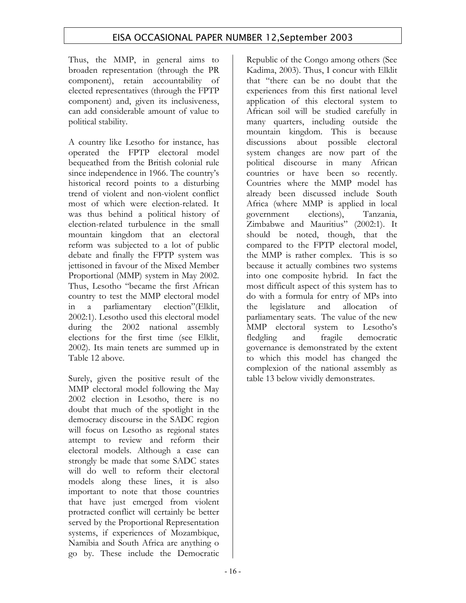Thus, the MMP, in general aims to broaden representation (through the PR component), retain accountability of elected representatives (through the FPTP component) and, given its inclusiveness, can add considerable amount of value to political stability.

A country like Lesotho for instance, has operated the FPTP electoral model bequeathed from the British colonial rule since independence in 1966. The country's historical record points to a disturbing trend of violent and non-violent conflict most of which were election-related. It was thus behind a political history of election-related turbulence in the small mountain kingdom that an electoral reform was subjected to a lot of public debate and finally the FPTP system was jettisoned in favour of the Mixed Member Proportional (MMP) system in May 2002. Thus, Lesotho "became the first African country to test the MMP electoral model in a parliamentary election"(Elklit, 2002:1). Lesotho used this electoral model during the 2002 national assembly elections for the first time (see Elklit, 2002). Its main tenets are summed up in Table 12 above.

Surely, given the positive result of the MMP electoral model following the May 2002 election in Lesotho, there is no doubt that much of the spotlight in the democracy discourse in the SADC region will focus on Lesotho as regional states attempt to review and reform their electoral models. Although a case can strongly be made that some SADC states will do well to reform their electoral models along these lines, it is also important to note that those countries that have just emerged from violent protracted conflict will certainly be better served by the Proportional Representation systems, if experiences of Mozambique, Namibia and South Africa are anything o go by. These include the Democratic

Republic of the Congo among others (See Kadima, 2003). Thus, I concur with Elklit that "there can be no doubt that the experiences from this first national level application of this electoral system to African soil will be studied carefully in many quarters, including outside the mountain kingdom. This is because discussions about possible electoral system changes are now part of the political discourse in many African countries or have been so recently. Countries where the MMP model has already been discussed include South Africa (where MMP is applied in local government elections), Tanzania, Zimbabwe and Mauritius" (2002:1). It should be noted, though, that the compared to the FPTP electoral model, the MMP is rather complex. This is so because it actually combines two systems into one composite hybrid. In fact the most difficult aspect of this system has to do with a formula for entry of MPs into the legislature and allocation of parliamentary seats. The value of the new MMP electoral system to Lesotho's fledgling and fragile democratic governance is demonstrated by the extent to which this model has changed the complexion of the national assembly as table 13 below vividly demonstrates.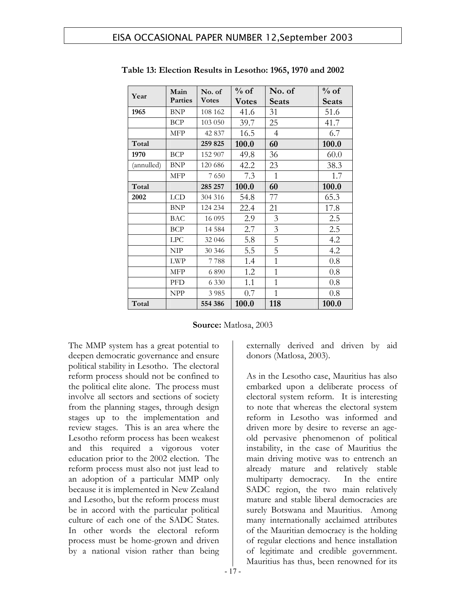| Year       | Main           | No. of       | $%$ of       | No. of         | $%$ of |
|------------|----------------|--------------|--------------|----------------|--------|
|            | <b>Parties</b> | <b>Votes</b> | <b>Votes</b> | Seats          | Seats  |
| 1965       | <b>BNP</b>     | 108 162      | 41.6         | 31             | 51.6   |
|            | <b>BCP</b>     | 103 050      | 39.7         | 25             | 41.7   |
|            | <b>MFP</b>     | 42 837       | 16.5         | 4              | 6.7    |
| Total      |                | 259 825      | 100.0        | 60             | 100.0  |
| 1970       | <b>BCP</b>     | 152 907      | 49.8         | 36             | 60.0   |
| (annulled) | <b>BNP</b>     | 120 686      | 42.2         | 23             | 38.3   |
|            | <b>MFP</b>     | 7650         | 7.3          | 1              | 1.7    |
| Total      |                | 285 257      | 100.0        | 60             | 100.0  |
| 2002       | <b>LCD</b>     | 304 316      | 54.8         | 77             | 65.3   |
|            | <b>BNP</b>     | 124 234      | 22.4         | 21             | 17.8   |
|            | <b>BAC</b>     | 16 0 95      | 2.9          | 3              | 2.5    |
|            | <b>BCP</b>     | 14 5 8 4     | 2.7          | 3              | 2.5    |
|            | <b>LPC</b>     | 32 046       | 5.8          | 5              | 4.2    |
|            | <b>NIP</b>     | 30 346       | 5.5          | 5              | 4.2    |
|            | <b>LWP</b>     | 7788         | 1.4          | $\mathbf{1}$   | 0.8    |
|            | <b>MFP</b>     | 6890         | 1.2          | $\overline{1}$ | 0.8    |
|            | PFD            | 6 3 3 0      | 1.1          | $\mathbf{1}$   | 0.8    |
|            | <b>NPP</b>     | 3 9 8 5      | 0.7          | $\mathbf{1}$   | 0.8    |
| Total      |                | 554 386      | 100.0        | 118            | 100.0  |

**Table 13: Election Results in Lesotho: 1965, 1970 and 2002** 

| Source: Matlosa, 2003 |  |
|-----------------------|--|
|-----------------------|--|

The MMP system has a great potential to deepen democratic governance and ensure political stability in Lesotho. The electoral reform process should not be confined to the political elite alone. The process must involve all sectors and sections of society from the planning stages, through design stages up to the implementation and review stages. This is an area where the Lesotho reform process has been weakest and this required a vigorous voter education prior to the 2002 election. The reform process must also not just lead to an adoption of a particular MMP only because it is implemented in New Zealand and Lesotho, but the reform process must be in accord with the particular political culture of each one of the SADC States. In other words the electoral reform process must be home-grown and driven by a national vision rather than being

externally derived and driven by aid donors (Matlosa, 2003).

As in the Lesotho case, Mauritius has also embarked upon a deliberate process of electoral system reform. It is interesting to note that whereas the electoral system reform in Lesotho was informed and driven more by desire to reverse an ageold pervasive phenomenon of political instability, in the case of Mauritius the main driving motive was to entrench an already mature and relatively stable multiparty democracy. In the entire SADC region, the two main relatively mature and stable liberal democracies are surely Botswana and Mauritius. Among many internationally acclaimed attributes of the Mauritian democracy is the holding of regular elections and hence installation of legitimate and credible government. Mauritius has thus, been renowned for its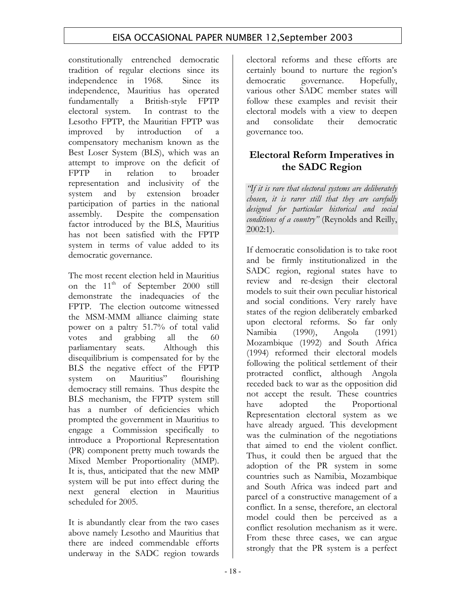constitutionally entrenched democratic tradition of regular elections since its independence in 1968. Since its independence, Mauritius has operated fundamentally a British-style FPTP electoral system. In contrast to the Lesotho FPTP, the Mauritian FPTP was improved by introduction of a compensatory mechanism known as the Best Loser System (BLS), which was an attempt to improve on the deficit of FPTP in relation to broader representation and inclusivity of the system and by extension broader participation of parties in the national assembly. Despite the compensation factor introduced by the BLS, Mauritius has not been satisfied with the FPTP system in terms of value added to its democratic governance.

The most recent election held in Mauritius on the  $11<sup>th</sup>$  of September 2000 still demonstrate the inadequacies of the FPTP. The election outcome witnessed the MSM-MMM alliance claiming state power on a paltry 51.7% of total valid votes and grabbing all the 60 parliamentary seats. Although this disequilibrium is compensated for by the BLS the negative effect of the FPTP system on Mauritius" flourishing democracy still remains. Thus despite the BLS mechanism, the FPTP system still has a number of deficiencies which prompted the government in Mauritius to engage a Commission specifically to introduce a Proportional Representation (PR) component pretty much towards the Mixed Member Proportionality (MMP). It is, thus, anticipated that the new MMP system will be put into effect during the next general election in Mauritius scheduled for 2005.

It is abundantly clear from the two cases above namely Lesotho and Mauritius that there are indeed commendable efforts underway in the SADC region towards

electoral reforms and these efforts are certainly bound to nurture the region's democratic governance. Hopefully, various other SADC member states will follow these examples and revisit their electoral models with a view to deepen and consolidate their democratic governance too.

## **Electoral Reform Imperatives in the SADC Region**

*"If it is rare that electoral systems are deliberately chosen, it is rarer still that they are carefully designed for particular historical and social conditions of a country"* (Reynolds and Reilly, 2002:1).

If democratic consolidation is to take root and be firmly institutionalized in the SADC region, regional states have to review and re-design their electoral models to suit their own peculiar historical and social conditions. Very rarely have states of the region deliberately embarked upon electoral reforms. So far only Namibia (1990), Angola (1991) Mozambique (1992) and South Africa (1994) reformed their electoral models following the political settlement of their protracted conflict, although Angola receded back to war as the opposition did not accept the result. These countries have adopted the Proportional Representation electoral system as we have already argued. This development was the culmination of the negotiations that aimed to end the violent conflict. Thus, it could then be argued that the adoption of the PR system in some countries such as Namibia, Mozambique and South Africa was indeed part and parcel of a constructive management of a conflict. In a sense, therefore, an electoral model could then be perceived as a conflict resolution mechanism as it were. From these three cases, we can argue strongly that the PR system is a perfect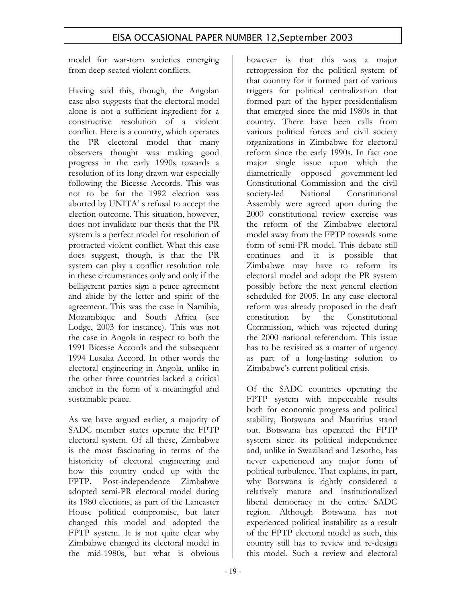model for war-torn societies emerging from deep-seated violent conflicts.

Having said this, though, the Angolan case also suggests that the electoral model alone is not a sufficient ingredient for a constructive resolution of a violent conflict. Here is a country, which operates the PR electoral model that many observers thought was making good progress in the early 1990s towards a resolution of its long-drawn war especially following the Bicesse Accords. This was not to be for the 1992 election was aborted by UNITA' s refusal to accept the election outcome. This situation, however, does not invalidate our thesis that the PR system is a perfect model for resolution of protracted violent conflict. What this case does suggest, though, is that the PR system can play a conflict resolution role in these circumstances only and only if the belligerent parties sign a peace agreement and abide by the letter and spirit of the agreement. This was the case in Namibia, Mozambique and South Africa (see Lodge, 2003 for instance). This was not the case in Angola in respect to both the 1991 Bicesse Accords and the subsequent 1994 Lusaka Accord. In other words the electoral engineering in Angola, unlike in the other three countries lacked a critical anchor in the form of a meaningful and sustainable peace.

As we have argued earlier, a majority of SADC member states operate the FPTP electoral system. Of all these, Zimbabwe is the most fascinating in terms of the historicity of electoral engineering and how this country ended up with the FPTP. Post-independence Zimbabwe adopted semi-PR electoral model during its 1980 elections, as part of the Lancaster House political compromise, but later changed this model and adopted the FPTP system. It is not quite clear why Zimbabwe changed its electoral model in the mid-1980s, but what is obvious

however is that this was a major retrogression for the political system of that country for it formed part of various triggers for political centralization that formed part of the hyper-presidentialism that emerged since the mid-1980s in that country. There have been calls from various political forces and civil society organizations in Zimbabwe for electoral reform since the early 1990s. In fact one major single issue upon which the diametrically opposed government-led Constitutional Commission and the civil society-led National Constitutional Assembly were agreed upon during the 2000 constitutional review exercise was the reform of the Zimbabwe electoral model away from the FPTP towards some form of semi-PR model. This debate still continues and it is possible that Zimbabwe may have to reform its electoral model and adopt the PR system possibly before the next general election scheduled for 2005. In any case electoral reform was already proposed in the draft constitution by the Constitutional Commission, which was rejected during the 2000 national referendum. This issue has to be revisited as a matter of urgency as part of a long-lasting solution to Zimbabwe's current political crisis.

Of the SADC countries operating the FPTP system with impeccable results both for economic progress and political stability, Botswana and Mauritius stand out. Botswana has operated the FPTP system since its political independence and, unlike in Swaziland and Lesotho, has never experienced any major form of political turbulence. That explains, in part, why Botswana is rightly considered a relatively mature and institutionalized liberal democracy in the entire SADC region. Although Botswana has not experienced political instability as a result of the FPTP electoral model as such, this country still has to review and re-design this model. Such a review and electoral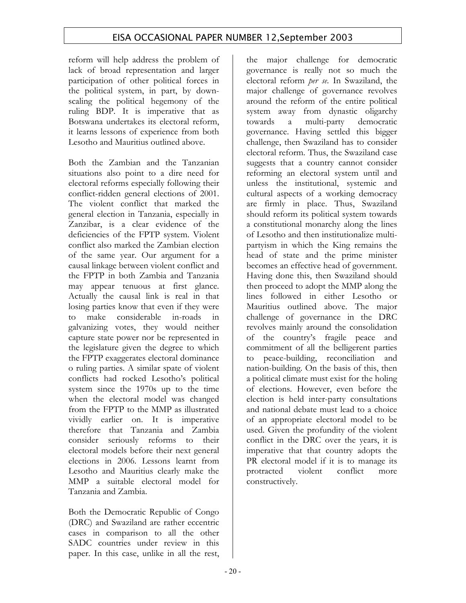reform will help address the problem of lack of broad representation and larger participation of other political forces in the political system, in part, by downscaling the political hegemony of the ruling BDP. It is imperative that as Botswana undertakes its electoral reform, it learns lessons of experience from both Lesotho and Mauritius outlined above.

Both the Zambian and the Tanzanian situations also point to a dire need for electoral reforms especially following their conflict-ridden general elections of 2001. The violent conflict that marked the general election in Tanzania, especially in Zanzibar, is a clear evidence of the deficiencies of the FPTP system. Violent conflict also marked the Zambian election of the same year. Our argument for a causal linkage between violent conflict and the FPTP in both Zambia and Tanzania may appear tenuous at first glance. Actually the causal link is real in that losing parties know that even if they were to make considerable in-roads in galvanizing votes, they would neither capture state power nor be represented in the legislature given the degree to which the FPTP exaggerates electoral dominance o ruling parties. A similar spate of violent conflicts had rocked Lesotho's political system since the 1970s up to the time when the electoral model was changed from the FPTP to the MMP as illustrated vividly earlier on. It is imperative therefore that Tanzania and Zambia consider seriously reforms to their electoral models before their next general elections in 2006. Lessons learnt from Lesotho and Mauritius clearly make the MMP a suitable electoral model for Tanzania and Zambia.

Both the Democratic Republic of Congo (DRC) and Swaziland are rather eccentric cases in comparison to all the other SADC countries under review in this paper. In this case, unlike in all the rest, the major challenge for democratic governance is really not so much the electoral reform *per se*. In Swaziland, the major challenge of governance revolves around the reform of the entire political system away from dynastic oligarchy towards a multi-party democratic governance. Having settled this bigger challenge, then Swaziland has to consider electoral reform. Thus, the Swaziland case suggests that a country cannot consider reforming an electoral system until and unless the institutional, systemic and cultural aspects of a working democracy are firmly in place. Thus, Swaziland should reform its political system towards a constitutional monarchy along the lines of Lesotho and then institutionalize multipartyism in which the King remains the head of state and the prime minister becomes an effective head of government. Having done this, then Swaziland should then proceed to adopt the MMP along the lines followed in either Lesotho or Mauritius outlined above. The major challenge of governance in the DRC revolves mainly around the consolidation of the country's fragile peace and commitment of all the belligerent parties to peace-building, reconciliation and nation-building. On the basis of this, then a political climate must exist for the holing of elections. However, even before the election is held inter-party consultations and national debate must lead to a choice of an appropriate electoral model to be used. Given the profundity of the violent conflict in the DRC over the years, it is imperative that that country adopts the PR electoral model if it is to manage its protracted violent conflict more constructively.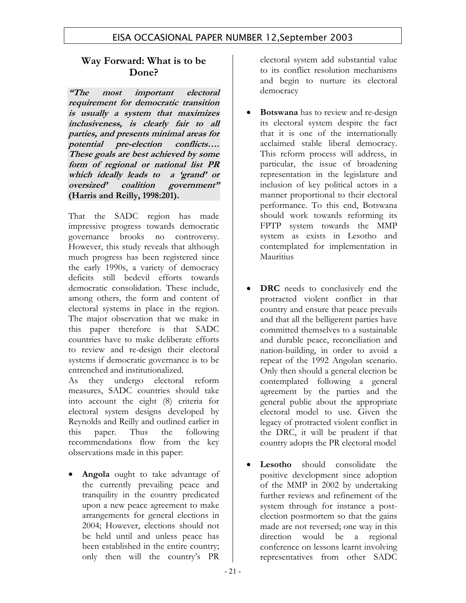## **Way Forward: What is to be Done?**

**"The most important electoral requirement for democratic transition is usually a system that maximizes inclusiveness, is clearly fair to all parties, and presents minimal areas for potential pre-election conflicts…. These goals are best achieved by some form of regional or national list PR which ideally leads to a 'grand' or oversized' coalition government" (Harris and Reilly, 1998:201).** 

That the SADC region has made impressive progress towards democratic governance brooks no controversy. However, this study reveals that although much progress has been registered since the early 1990s, a variety of democracy deficits still bedevil efforts towards democratic consolidation. These include, among others, the form and content of electoral systems in place in the region. The major observation that we make in this paper therefore is that SADC countries have to make deliberate efforts to review and re-design their electoral systems if democratic governance is to be entrenched and institutionalized.

As they undergo electoral reform measures, SADC countries should take into account the eight (8) criteria for electoral system designs developed by Reynolds and Reilly and outlined earlier in this paper. Thus the following recommendations flow from the key observations made in this paper:

**Angola** ought to take advantage of the currently prevailing peace and tranquility in the country predicated upon a new peace agreement to make arrangements for general elections in 2004; However, elections should not be held until and unless peace has been established in the entire country; only then will the country's PR

electoral system add substantial value to its conflict resolution mechanisms and begin to nurture its electoral democracy

- **Botswana** has to review and re-design its electoral system despite the fact that it is one of the internationally acclaimed stable liberal democracy. This reform process will address, in particular, the issue of broadening representation in the legislature and inclusion of key political actors in a manner proportional to their electoral performance. To this end, Botswana should work towards reforming its FPTP system towards the MMP system as exists in Lesotho and contemplated for implementation in Mauritius
- **DRC** needs to conclusively end the protracted violent conflict in that country and ensure that peace prevails and that all the belligerent parties have committed themselves to a sustainable and durable peace, reconciliation and nation-building, in order to avoid a repeat of the 1992 Angolan scenario. Only then should a general election be contemplated following a general agreement by the parties and the general public about the appropriate electoral model to use. Given the legacy of protracted violent conflict in the DRC, it will be prudent if that country adopts the PR electoral model
- **Lesotho** should consolidate the positive development since adoption of the MMP in 2002 by undertaking further reviews and refinement of the system through for instance a postelection postmortem so that the gains made are not reversed; one way in this direction would be a regional conference on lessons learnt involving representatives from other SADC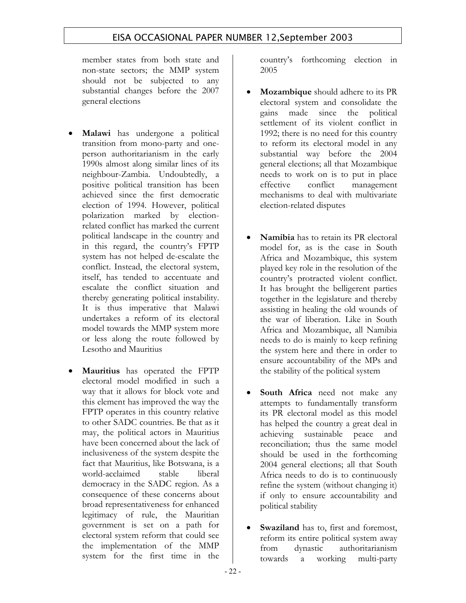member states from both state and non-state sectors; the MMP system should not be subjected to any substantial changes before the 2007 general elections

- **Malawi** has undergone a political transition from mono-party and oneperson authoritarianism in the early 1990s almost along similar lines of its neighbour-Zambia. Undoubtedly, a positive political transition has been achieved since the first democratic election of 1994. However, political polarization marked by electionrelated conflict has marked the current political landscape in the country and in this regard, the country's FPTP system has not helped de-escalate the conflict. Instead, the electoral system, itself, has tended to accentuate and escalate the conflict situation and thereby generating political instability. It is thus imperative that Malawi undertakes a reform of its electoral model towards the MMP system more or less along the route followed by Lesotho and Mauritius
- **Mauritius** has operated the FPTP electoral model modified in such a way that it allows for block vote and this element has improved the way the FPTP operates in this country relative to other SADC countries. Be that as it may, the political actors in Mauritius have been concerned about the lack of inclusiveness of the system despite the fact that Mauritius, like Botswana, is a world-acclaimed stable liberal democracy in the SADC region. As a consequence of these concerns about broad representativeness for enhanced legitimacy of rule, the Mauritian government is set on a path for electoral system reform that could see the implementation of the MMP system for the first time in the

country's forthcoming election in 2005

- **Mozambique** should adhere to its PR electoral system and consolidate the gains made since the political settlement of its violent conflict in 1992; there is no need for this country to reform its electoral model in any substantial way before the 2004 general elections; all that Mozambique needs to work on is to put in place effective conflict management mechanisms to deal with multivariate election-related disputes
- **Namibia** has to retain its PR electoral model for, as is the case in South Africa and Mozambique, this system played key role in the resolution of the country's protracted violent conflict. It has brought the belligerent parties together in the legislature and thereby assisting in healing the old wounds of the war of liberation. Like in South Africa and Mozambique, all Namibia needs to do is mainly to keep refining the system here and there in order to ensure accountability of the MPs and the stability of the political system
- **South Africa** need not make any attempts to fundamentally transform its PR electoral model as this model has helped the country a great deal in achieving sustainable peace and reconciliation; thus the same model should be used in the forthcoming 2004 general elections; all that South Africa needs to do is to continuously refine the system (without changing it) if only to ensure accountability and political stability
- **Swaziland** has to, first and foremost, reform its entire political system away from dynastic authoritarianism towards a working multi-party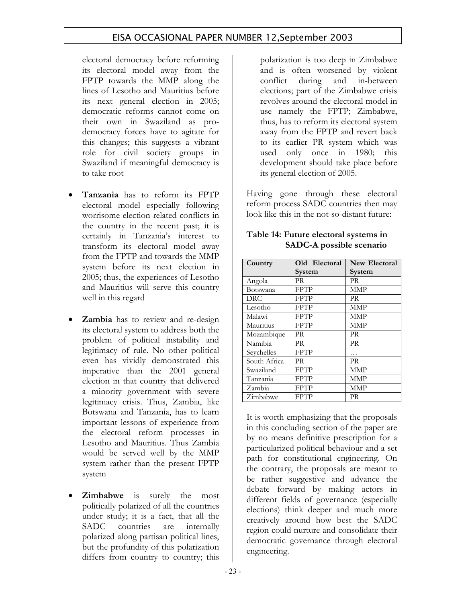electoral democracy before reforming its electoral model away from the FPTP towards the MMP along the lines of Lesotho and Mauritius before its next general election in 2005; democratic reforms cannot come on their own in Swaziland as prodemocracy forces have to agitate for this changes; this suggests a vibrant role for civil society groups in Swaziland if meaningful democracy is to take root

- **Tanzania** has to reform its FPTP electoral model especially following worrisome election-related conflicts in the country in the recent past; it is certainly in Tanzania's interest to transform its electoral model away from the FPTP and towards the MMP system before its next election in 2005; thus, the experiences of Lesotho and Mauritius will serve this country well in this regard
- **Zambia** has to review and re-design its electoral system to address both the problem of political instability and legitimacy of rule. No other political even has vividly demonstrated this imperative than the 2001 general election in that country that delivered a minority government with severe legitimacy crisis. Thus, Zambia, like Botswana and Tanzania, has to learn important lessons of experience from the electoral reform processes in Lesotho and Mauritius. Thus Zambia would be served well by the MMP system rather than the present FPTP system
- **Zimbabwe** is surely the most politically polarized of all the countries under study; it is a fact, that all the SADC countries are internally polarized along partisan political lines, but the profundity of this polarization differs from country to country; this

polarization is too deep in Zimbabwe and is often worsened by violent conflict during and in-between elections; part of the Zimbabwe crisis revolves around the electoral model in use namely the FPTP; Zimbabwe, thus, has to reform its electoral system away from the FPTP and revert back to its earlier PR system which was used only once in 1980; this development should take place before its general election of 2005.

Having gone through these electoral reform process SADC countries then may look like this in the not-so-distant future:

| Country      | Old Electoral | <b>New Electoral</b> |
|--------------|---------------|----------------------|
|              | System        | System               |
| Angola       | PR            | PR                   |
| Botswana     | <b>FPTP</b>   | MMP                  |
| DRC.         | <b>FPTP</b>   | PR                   |
| Lesotho      | <b>FPTP</b>   | <b>MMP</b>           |
| Malawi       | <b>FPTP</b>   | MMP                  |
| Mauritius    | <b>FPTP</b>   | MMP                  |
| Mozambique   | PR            | PR.                  |
| Namibia      | <b>PR</b>     | <b>PR</b>            |
| Seychelles   | <b>FPTP</b>   |                      |
| South Africa | PR            | PR                   |
| Swaziland    | <b>FPTP</b>   | MMP                  |
| Tanzania     | <b>FPTP</b>   | MMP                  |
| Zambia       | <b>FPTP</b>   | <b>MMP</b>           |
| Zimbabwe     | <b>FPTP</b>   | PR                   |

### **Table 14: Future electoral systems in SADC-A possible scenario**

It is worth emphasizing that the proposals in this concluding section of the paper are by no means definitive prescription for a particularized political behaviour and a set path for constitutional engineering. On the contrary, the proposals are meant to be rather suggestive and advance the debate forward by making actors in different fields of governance (especially elections) think deeper and much more creatively around how best the SADC region could nurture and consolidate their democratic governance through electoral engineering.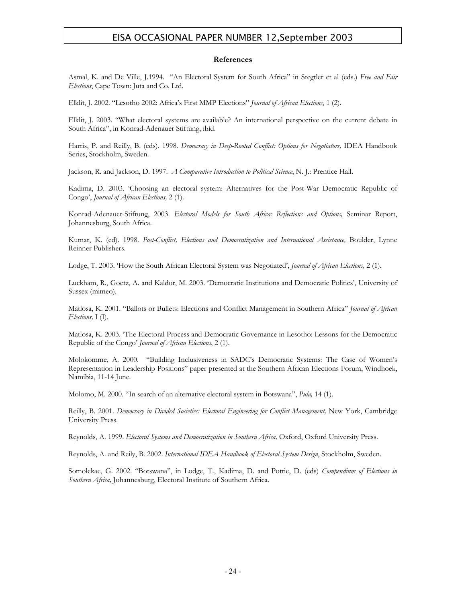#### **References**

Asmal, K. and De Ville, J.1994. "An Electoral System for South Africa" in Stegtler et al (eds.) *Free and Fair Elections*, Cape Town: Juta and Co. Ltd.

Elklit, J. 2002. "Lesotho 2002: Africa's First MMP Elections" *Journal of African Elections*, 1 (2).

Elklit, J. 2003. "What electoral systems are available? An international perspective on the current debate in South Africa", in Konrad-Adenauer Stiftung, ibid.

Harris, P. and Reilly, B. (eds). 1998. *Democracy in Deep-Rooted Conflict: Options for Negotiators,* IDEA Handbook Series, Stockholm, Sweden.

Jackson, R. and Jackson, D. 1997. *A Comparative Introduction to Political Science*, N. J.: Prentice Hall.

Kadima, D. 2003. 'Choosing an electoral system: Alternatives for the Post-War Democratic Republic of Congo', *Journal of African Elections,* 2 (1).

Konrad-Adenauer-Stiftung, 2003. *Electoral Models for South Africa: Reflections and Options,* Seminar Report, Johannesburg, South Africa.

Kumar, K. (ed). 1998. *Post-Conflict, Elections and Democratization and International Assistance,* Boulder, Lynne Reinner Publishers.

Lodge, T. 2003. 'How the South African Electoral System was Negotiated', *Journal of African Elections,* 2 (1).

Luckham, R., Goetz, A. and Kaldor, M. 2003. 'Democratic Institutions and Democratic Politics', University of Sussex (mimeo).

Matlosa, K. 2001. "Ballots or Bullets: Elections and Conflict Management in Southern Africa" *Journal of African Elections,* I (I).

Matlosa, K. 2003. 'The Electoral Process and Democratic Governance in Lesotho: Lessons for the Democratic Republic of the Congo' *Journal of African Elections*, 2 (1).

Molokomme, A. 2000. "Building Inclusiveness in SADC's Democratic Systems: The Case of Women's Representation in Leadership Positions" paper presented at the Southern African Elections Forum, Windhoek, Namibia, 11-14 June.

Molomo, M. 2000. "In search of an alternative electoral system in Botswana", *Pula,* 14 (1).

Reilly, B. 2001. *Democracy in Divided Societies: Electoral Engineering for Conflict Management*, New York, Cambridge University Press.

Reynolds, A. 1999. *Electoral Systems and Democratization in Southern Africa,* Oxford, Oxford University Press.

Reynolds, A. and Reily, B. 2002. *International IDEA Handbook of Electoral System Design*, Stockholm, Sweden.

Somolekae, G. 2002. "Botswana", in Lodge, T., Kadima, D. and Pottie, D. (eds) *Compendium of Elections in Southern Africa,* Johannesburg, Electoral Institute of Southern Africa.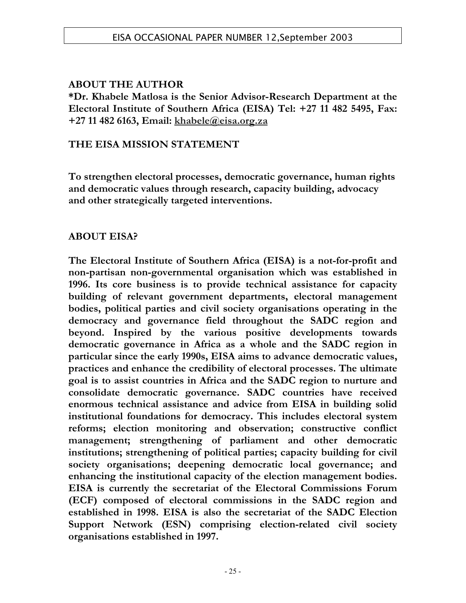## **ABOUT THE AUTHOR**

**\*Dr. Khabele Matlosa is the Senior Advisor-Research Department at the Electoral Institute of Southern Africa (EISA) Tel: +27 11 482 5495, Fax: +27 11 482 6163, Email: khabele@eisa.org.za** 

## **THE EISA MISSION STATEMENT**

**To strengthen electoral processes, democratic governance, human rights and democratic values through research, capacity building, advocacy and other strategically targeted interventions.** 

## **ABOUT EISA?**

**The Electoral Institute of Southern Africa (EISA) is a not-for-profit and non-partisan non-governmental organisation which was established in 1996. Its core business is to provide technical assistance for capacity building of relevant government departments, electoral management bodies, political parties and civil society organisations operating in the democracy and governance field throughout the SADC region and beyond. Inspired by the various positive developments towards democratic governance in Africa as a whole and the SADC region in particular since the early 1990s, EISA aims to advance democratic values, practices and enhance the credibility of electoral processes. The ultimate goal is to assist countries in Africa and the SADC region to nurture and consolidate democratic governance. SADC countries have received enormous technical assistance and advice from EISA in building solid institutional foundations for democracy. This includes electoral system reforms; election monitoring and observation; constructive conflict management; strengthening of parliament and other democratic institutions; strengthening of political parties; capacity building for civil society organisations; deepening democratic local governance; and enhancing the institutional capacity of the election management bodies. EISA is currently the secretariat of the Electoral Commissions Forum (ECF) composed of electoral commissions in the SADC region and established in 1998. EISA is also the secretariat of the SADC Election Support Network (ESN) comprising election-related civil society organisations established in 1997.**